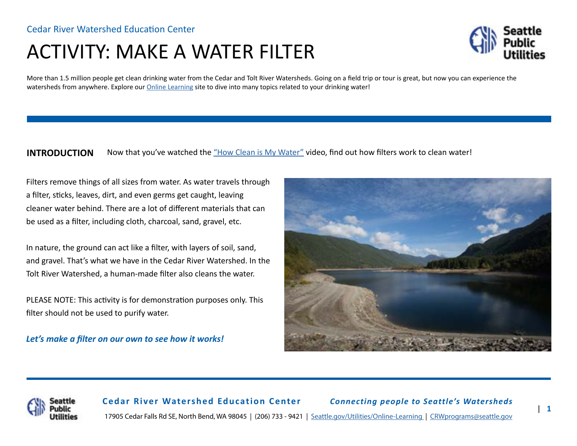# ACTIVITY: MAKE A WATER FILTER



More than 1.5 million people get clean drinking water from the Cedar and Tolt River Watersheds. Going on a field trip or tour is great, but now you can experience the watersheds from anywhere. Explore our [Online Learning](http://www.seattle.gov/utilities/protecting-our-environment/our-water-sources/cedar-river-watershed/online-learning) site to dive into many topics related to your drinking water!

#### **INTRODUCTION** Now that you've watched the ["How Clean is My Water"](https://www.youtube.com/watch?v=03K6OgBe02M) video, find out how filters work to clean water!

Filters remove things of all sizes from water. As water travels through a filter, sticks, leaves, dirt, and even germs get caught, leaving cleaner water behind. There are a lot of different materials that can be used as a filter, including cloth, charcoal, sand, gravel, etc.

In nature, the ground can act like a filter, with layers of soil, sand, and gravel. That's what we have in the Cedar River Watershed. In the Tolt River Watershed, a human-made filter also cleans the water.

PLEASE NOTE: This activity is for demonstration purposes only. This filter should not be used to purify water.

*Let's make a filter on our own to see how it works!*





**Cedar River Watershed Education Center** *Connecting people to Seattle's Watersheds* 17905 Cedar Falls Rd SE, North Bend, WA 98045 | (206) 733 - 9421 | [Seattle.gov/Utilities/Online-Learning](http://www.seattle.gov/utilities/protecting-our-environment/our-water-sources/cedar-river-watershed/online-learning) | [CRWprograms@seattle.gov](mailto:crwprograms%40seattle.gov?subject=)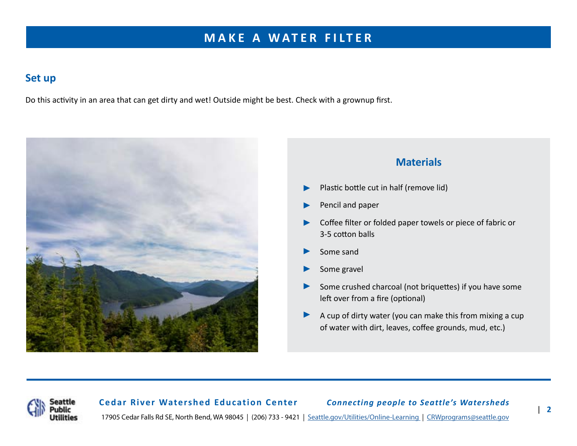## **MAKE A WATER FILTER**

#### **Set up**

Do this activity in an area that can get dirty and wet! Outside might be best. Check with a grownup first.



#### **Materials**

- Plastic bottle cut in half (remove lid) ▶
- Pencil and paper ▶
- Coffee filter or folded paper towels or piece of fabric or 3-5 cotton balls ▶
- Some sand ▶
- Some gravel ▶
- Some crushed charcoal (not briquettes) if you have some left over from a fire (optional) ▶
- A cup of dirty water (you can make this from mixing a cup of water with dirt, leaves, coffee grounds, mud, etc.) ▶



**Cedar River Watershed Education Center** *Connecting people to Seattle's Watersheds* 17905 Cedar Falls Rd SE, North Bend, WA 98045 | (206) 733 - 9421 | [Seattle.gov/Utilities/Online-Learning](http://www.seattle.gov/utilities/protecting-our-environment/our-water-sources/cedar-river-watershed/online-learning) | [CRWprograms@seattle.gov](mailto:crwprograms%40seattle.gov?subject=)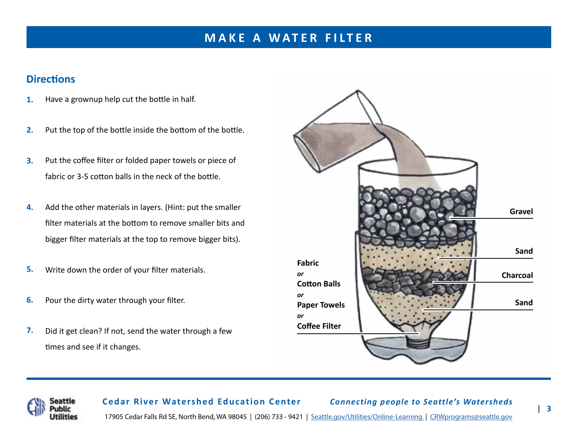## **MAKE A WATER FILTER**

### **Directions**

- Have a grownup help cut the bottle in half. **1.**
- Put the top of the bottle inside the bottom of the bottle. **2.**
- Put the coffee filter or folded paper towels or piece of fabric or 3-5 cotton balls in the neck of the bottle. **3.**
- Add the other materials in layers. (Hint: put the smaller filter materials at the bottom to remove smaller bits and bigger filter materials at the top to remove bigger bits). **4.**
- Write down the order of your filter materials. **5.**
- Pour the dirty water through your filter. **6.**
- Did it get clean? If not, send the water through a few times and see if it changes. **7.**